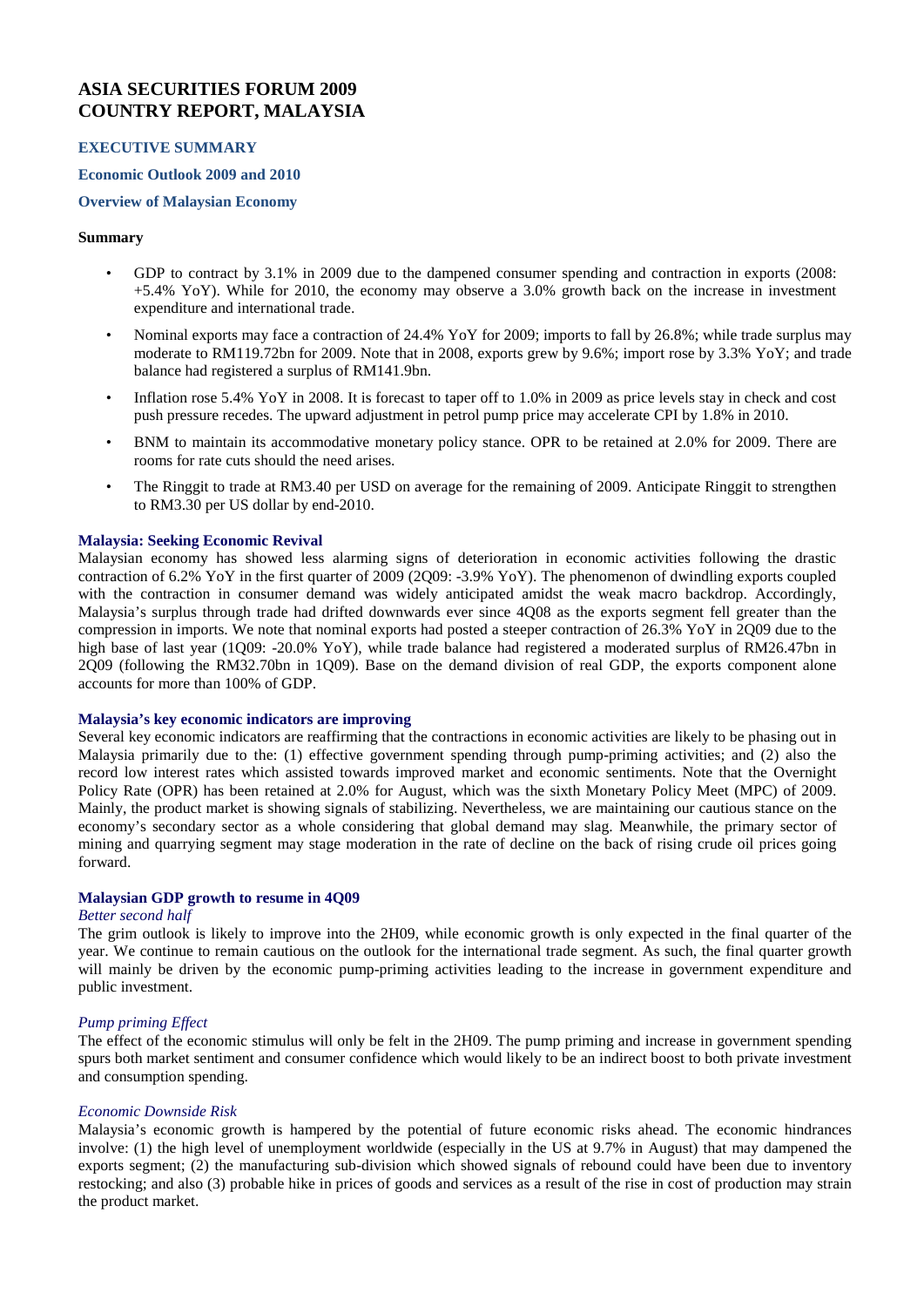# **ASIA SECURITIES FORUM 2009 COUNTRY REPORT, MALAYSIA**

### **EXECUTIVE SUMMARY**

#### **Economic Outlook 2009 and 2010**

# **Overview of Malaysian Economy**

#### **Summary**

- GDP to contract by 3.1% in 2009 due to the dampened consumer spending and contraction in exports (2008: +5.4% YoY). While for 2010, the economy may observe a 3.0% growth back on the increase in investment expenditure and international trade.
- Nominal exports may face a contraction of 24.4% YoY for 2009; imports to fall by 26.8%; while trade surplus may moderate to RM119.72bn for 2009. Note that in 2008, exports grew by 9.6%; import rose by 3.3% YoY; and trade balance had registered a surplus of RM141.9bn.
- Inflation rose 5.4% YoY in 2008. It is forecast to taper off to 1.0% in 2009 as price levels stay in check and cost push pressure recedes. The upward adjustment in petrol pump price may accelerate CPI by 1.8% in 2010.
- BNM to maintain its accommodative monetary policy stance. OPR to be retained at 2.0% for 2009. There are rooms for rate cuts should the need arises.
- The Ringgit to trade at RM3.40 per USD on average for the remaining of 2009. Anticipate Ringgit to strengthen to RM3.30 per US dollar by end-2010.

### **Malaysia: Seeking Economic Revival**

Malaysian economy has showed less alarming signs of deterioration in economic activities following the drastic contraction of 6.2% YoY in the first quarter of 2009 (2Q09: -3.9% YoY). The phenomenon of dwindling exports coupled with the contraction in consumer demand was widely anticipated amidst the weak macro backdrop. Accordingly, Malaysia's surplus through trade had drifted downwards ever since 4Q08 as the exports segment fell greater than the compression in imports. We note that nominal exports had posted a steeper contraction of 26.3% YoY in 2Q09 due to the high base of last year (1Q09: -20.0% YoY), while trade balance had registered a moderated surplus of RM26.47bn in 2Q09 (following the RM32.70bn in 1Q09). Base on the demand division of real GDP, the exports component alone accounts for more than 100% of GDP.

### **Malaysia's key economic indicators are improving**

Several key economic indicators are reaffirming that the contractions in economic activities are likely to be phasing out in Malaysia primarily due to the: (1) effective government spending through pump-priming activities; and (2) also the record low interest rates which assisted towards improved market and economic sentiments. Note that the Overnight Policy Rate (OPR) has been retained at 2.0% for August, which was the sixth Monetary Policy Meet (MPC) of 2009. Mainly, the product market is showing signals of stabilizing. Nevertheless, we are maintaining our cautious stance on the economy's secondary sector as a whole considering that global demand may slag. Meanwhile, the primary sector of mining and quarrying segment may stage moderation in the rate of decline on the back of rising crude oil prices going forward.

#### **Malaysian GDP growth to resume in 4Q09**

#### *Better second half*

The grim outlook is likely to improve into the 2H09, while economic growth is only expected in the final quarter of the year. We continue to remain cautious on the outlook for the international trade segment. As such, the final quarter growth will mainly be driven by the economic pump-priming activities leading to the increase in government expenditure and public investment.

### *Pump priming Effect*

The effect of the economic stimulus will only be felt in the 2H09. The pump priming and increase in government spending spurs both market sentiment and consumer confidence which would likely to be an indirect boost to both private investment and consumption spending.

### *Economic Downside Risk*

Malaysia's economic growth is hampered by the potential of future economic risks ahead. The economic hindrances involve: (1) the high level of unemployment worldwide (especially in the US at 9.7% in August) that may dampened the exports segment; (2) the manufacturing sub-division which showed signals of rebound could have been due to inventory restocking; and also (3) probable hike in prices of goods and services as a result of the rise in cost of production may strain the product market.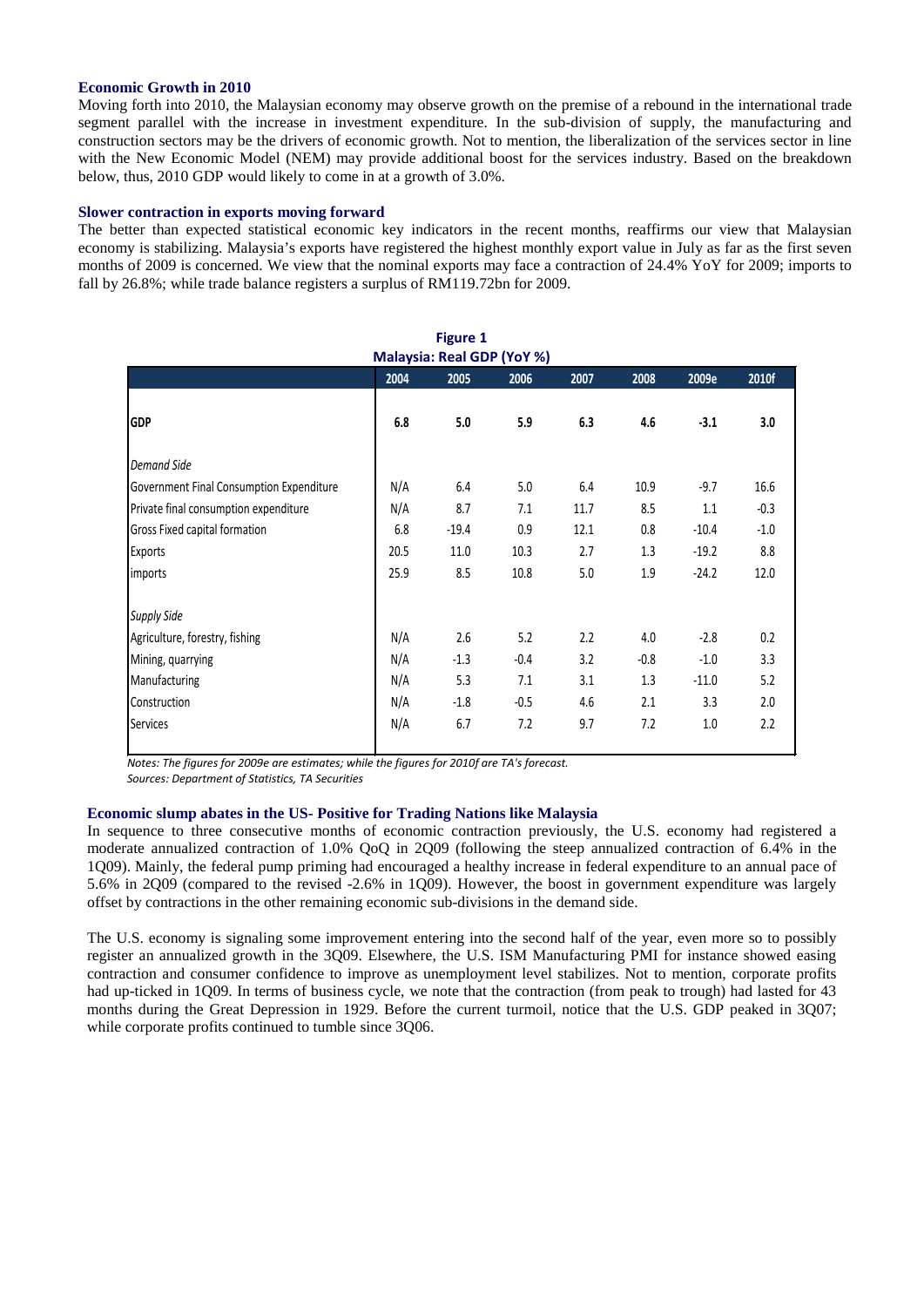#### **Economic Growth in 2010**

Moving forth into 2010, the Malaysian economy may observe growth on the premise of a rebound in the international trade segment parallel with the increase in investment expenditure. In the sub-division of supply, the manufacturing and construction sectors may be the drivers of economic growth. Not to mention, the liberalization of the services sector in line with the New Economic Model (NEM) may provide additional boost for the services industry. Based on the breakdown below, thus, 2010 GDP would likely to come in at a growth of 3.0%.

### **Slower contraction in exports moving forward**

The better than expected statistical economic key indicators in the recent months, reaffirms our view that Malaysian economy is stabilizing. Malaysia's exports have registered the highest monthly export value in July as far as the first seven months of 2009 is concerned. We view that the nominal exports may face a contraction of 24.4% YoY for 2009; imports to fall by 26.8%; while trade balance registers a surplus of RM119.72bn for 2009.

| <b>Figure 1</b><br>Malaysia: Real GDP (YoY %) |      |         |        |      |        |         |        |
|-----------------------------------------------|------|---------|--------|------|--------|---------|--------|
|                                               | 2004 | 2005    | 2006   | 2007 | 2008   | 2009e   | 2010f  |
| <b>GDP</b>                                    | 6.8  | 5.0     | 5.9    | 6.3  | 4.6    | $-3.1$  | 3.0    |
| <b>Demand Side</b>                            |      |         |        |      |        |         |        |
| Government Final Consumption Expenditure      | N/A  | 6.4     | 5.0    | 6.4  | 10.9   | $-9.7$  | 16.6   |
| Private final consumption expenditure         | N/A  | 8.7     | 7.1    | 11.7 | 8.5    | 1.1     | $-0.3$ |
| Gross Fixed capital formation                 | 6.8  | $-19.4$ | 0.9    | 12.1 | 0.8    | $-10.4$ | $-1.0$ |
| Exports                                       | 20.5 | 11.0    | 10.3   | 2.7  | 1.3    | $-19.2$ | 8.8    |
| imports                                       | 25.9 | 8.5     | 10.8   | 5.0  | 1.9    | $-24.2$ | 12.0   |
| <b>Supply Side</b>                            |      |         |        |      |        |         |        |
| Agriculture, forestry, fishing                | N/A  | 2.6     | 5.2    | 2.2  | 4.0    | $-2.8$  | 0.2    |
| Mining, quarrying                             | N/A  | $-1.3$  | $-0.4$ | 3.2  | $-0.8$ | $-1.0$  | 3.3    |
| Manufacturing                                 | N/A  | 5.3     | 7.1    | 3.1  | 1.3    | $-11.0$ | 5.2    |
| Construction                                  | N/A  | $-1.8$  | $-0.5$ | 4.6  | 2.1    | 3.3     | 2.0    |
| <b>Services</b>                               | N/A  | 6.7     | 7.2    | 9.7  | 7.2    | 1.0     | 2.2    |

*Notes: The figures for 2009e are estimates; while the figures for 2010f are TA's forecast.*

*Sources: Department of Statistics, TA Securities*

### **Economic slump abates in the US- Positive for Trading Nations like Malaysia**

In sequence to three consecutive months of economic contraction previously, the U.S. economy had registered a moderate annualized contraction of 1.0% QoQ in 2Q09 (following the steep annualized contraction of 6.4% in the 1Q09). Mainly, the federal pump priming had encouraged a healthy increase in federal expenditure to an annual pace of 5.6% in 2Q09 (compared to the revised -2.6% in 1Q09). However, the boost in government expenditure was largely offset by contractions in the other remaining economic sub-divisions in the demand side.

The U.S. economy is signaling some improvement entering into the second half of the year, even more so to possibly register an annualized growth in the 3Q09. Elsewhere, the U.S. ISM Manufacturing PMI for instance showed easing contraction and consumer confidence to improve as unemployment level stabilizes. Not to mention, corporate profits had up-ticked in 1Q09. In terms of business cycle, we note that the contraction (from peak to trough) had lasted for 43 months during the Great Depression in 1929. Before the current turmoil, notice that the U.S. GDP peaked in 3Q07; while corporate profits continued to tumble since 3Q06.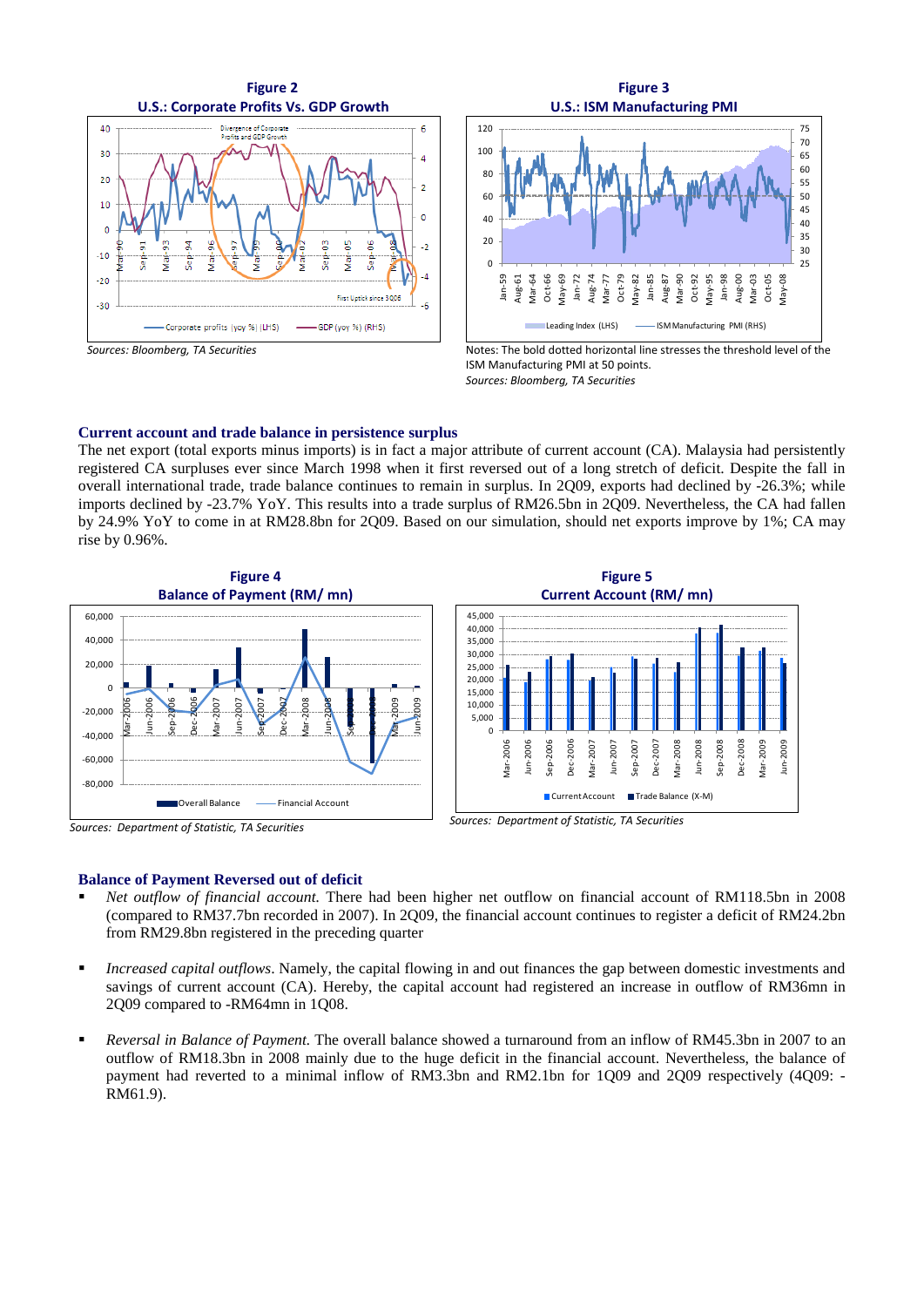



*Sources: Bloomberg, TA Securities*



Sep-2008 Dec-2008 Mar-2009 Jun-2009

Dec-2008 Mar-2009 Jun-2009

#### **Current account and trade balance in persistence surplus**

The net export (total exports minus imports) is in fact a major attribute of current account (CA). Malaysia had persistently registered CA surpluses ever since March 1998 when it first reversed out of a long stretch of deficit. Despite the fall in overall international trade, trade balance continues to remain in surplus. In 2Q09, exports had declined by -26.3%; while imports declined by -23.7% YoY. This results into a trade surplus of RM26.5bn in 2Q09. Nevertheless, the CA had fallen by 24.9% YoY to come in at RM28.8bn for 2Q09. Based on our simulation, should net exports improve by 1%; CA may rise by 0.96%.



*Sources: Department of Statistic, TA Securities*



#### **Balance of Payment Reversed out of deficit**

- *Net outflow of financial account.* There had been higher net outflow on financial account of RM118.5bn in 2008 (compared to RM37.7bn recorded in 2007). In 2Q09, the financial account continues to register a deficit of RM24.2bn from RM29.8bn registered in the preceding quarter
- *Increased capital outflows*. Namely, the capital flowing in and out finances the gap between domestic investments and savings of current account (CA). Hereby, the capital account had registered an increase in outflow of RM36mn in 2Q09 compared to -RM64mn in 1Q08.
- *Reversal in Balance of Payment.* The overall balance showed a turnaround from an inflow of RM45.3bn in 2007 to an outflow of RM18.3bn in 2008 mainly due to the huge deficit in the financial account. Nevertheless, the balance of payment had reverted to a minimal inflow of RM3.3bn and RM2.1bn for 1Q09 and 2Q09 respectively (4Q09: -RM61.9).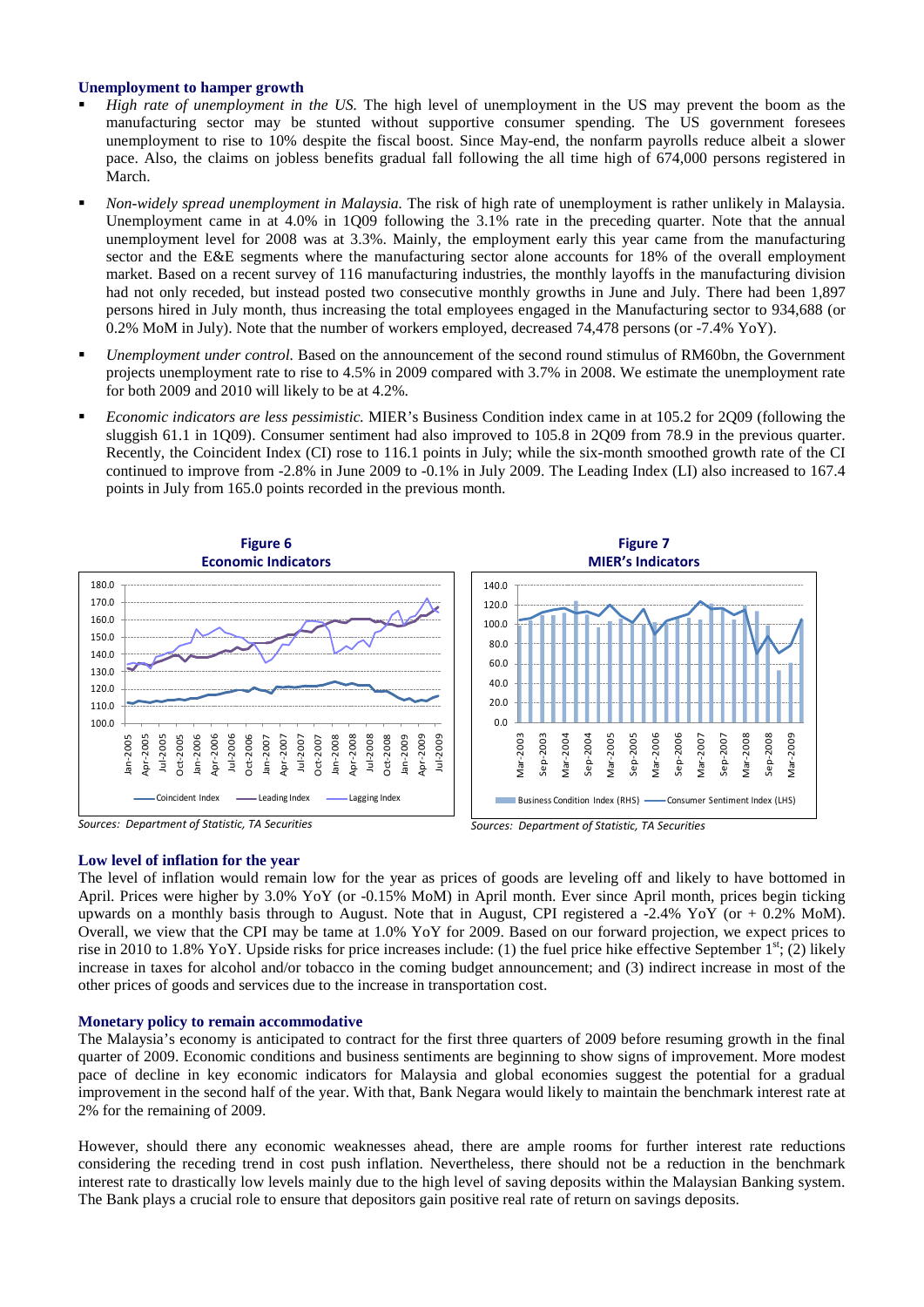#### **Unemployment to hamper growth**

- *High rate of unemployment in the US.* The high level of unemployment in the US may prevent the boom as the manufacturing sector may be stunted without supportive consumer spending. The US government foresees unemployment to rise to 10% despite the fiscal boost. Since May-end, the nonfarm payrolls reduce albeit a slower pace. Also, the claims on jobless benefits gradual fall following the all time high of 674,000 persons registered in March.
- *Non-widely spread unemployment in Malaysia.* The risk of high rate of unemployment is rather unlikely in Malaysia. Unemployment came in at 4.0% in 1Q09 following the 3.1% rate in the preceding quarter. Note that the annual unemployment level for 2008 was at 3.3%. Mainly, the employment early this year came from the manufacturing sector and the E&E segments where the manufacturing sector alone accounts for 18% of the overall employment market. Based on a recent survey of 116 manufacturing industries, the monthly layoffs in the manufacturing division had not only receded, but instead posted two consecutive monthly growths in June and July. There had been 1,897 persons hired in July month, thus increasing the total employees engaged in the Manufacturing sector to 934,688 (or 0.2% MoM in July). Note that the number of workers employed, decreased 74,478 persons (or -7.4% YoY).
- *Unemployment under control.* Based on the announcement of the second round stimulus of RM60bn, the Government projects unemployment rate to rise to 4.5% in 2009 compared with 3.7% in 2008. We estimate the unemployment rate for both 2009 and 2010 will likely to be at 4.2%.
- *Economic indicators are less pessimistic.* MIER's Business Condition index came in at 105.2 for 2Q09 (following the sluggish 61.1 in 1Q09). Consumer sentiment had also improved to 105.8 in 2Q09 from 78.9 in the previous quarter. Recently, the Coincident Index (CI) rose to 116.1 points in July; while the six-month smoothed growth rate of the CI continued to improve from -2.8% in June 2009 to -0.1% in July 2009. The Leading Index (LI) also increased to 167.4 points in July from 165.0 points recorded in the previous month.



*Sources: Department of Statistic, TA Securities*



#### **Low level of inflation for the year**

The level of inflation would remain low for the year as prices of goods are leveling off and likely to have bottomed in April. Prices were higher by 3.0% YoY (or -0.15% MoM) in April month. Ever since April month, prices begin ticking upwards on a monthly basis through to August. Note that in August, CPI registered a  $-2.4\%$  YoY (or  $+0.2\%$  MoM). Overall, we view that the CPI may be tame at 1.0% YoY for 2009. Based on our forward projection, we expect prices to rise in 2010 to 1.8% YoY. Upside risks for price increases include: (1) the fuel price hike effective September  $1<sup>st</sup>$ ; (2) likely increase in taxes for alcohol and/or tobacco in the coming budget announcement; and (3) indirect increase in most of the other prices of goods and services due to the increase in transportation cost.

#### **Monetary policy to remain accommodative**

The Malaysia's economy is anticipated to contract for the first three quarters of 2009 before resuming growth in the final quarter of 2009. Economic conditions and business sentiments are beginning to show signs of improvement. More modest pace of decline in key economic indicators for Malaysia and global economies suggest the potential for a gradual improvement in the second half of the year. With that, Bank Negara would likely to maintain the benchmark interest rate at 2% for the remaining of 2009.

However, should there any economic weaknesses ahead, there are ample rooms for further interest rate reductions considering the receding trend in cost push inflation. Nevertheless, there should not be a reduction in the benchmark interest rate to drastically low levels mainly due to the high level of saving deposits within the Malaysian Banking system. The Bank plays a crucial role to ensure that depositors gain positive real rate of return on savings deposits.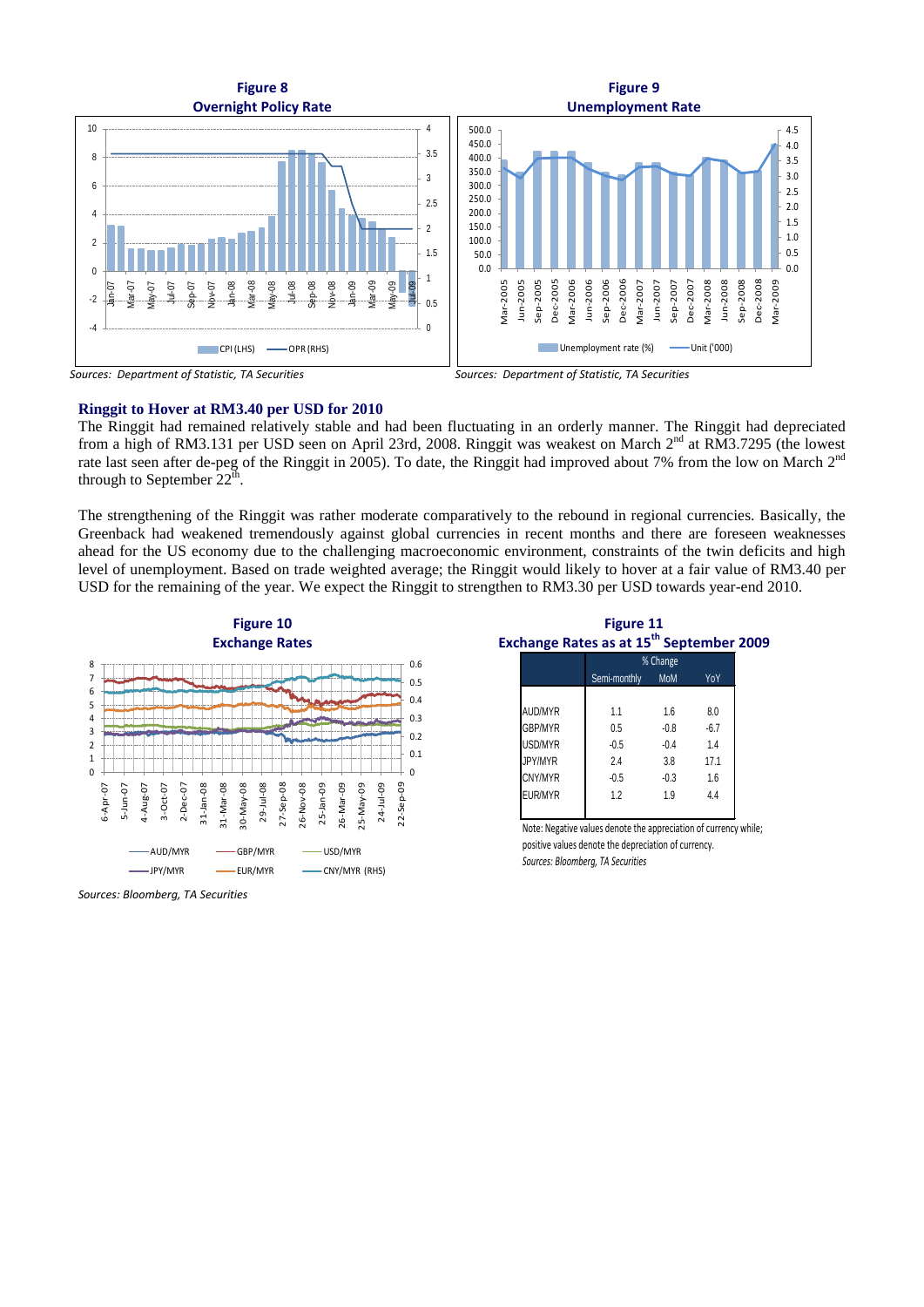



*Sources: Department of Statistic, TA Securities*

#### **Ringgit to Hover at RM3.40 per USD for 2010**

The Ringgit had remained relatively stable and had been fluctuating in an orderly manner. The Ringgit had depreciated from a high of RM3.131 per USD seen on April 23rd, 2008. Ringgit was weakest on March 2nd at RM3.7295 (the lowest rate last seen after de-peg of the Ringgit in 2005). To date, the Ringgit had improved about 7% from the low on March 2<sup>nd</sup> through to September  $22<sup>th</sup>$ .

The strengthening of the Ringgit was rather moderate comparatively to the rebound in regional currencies. Basically, the Greenback had weakened tremendously against global currencies in recent months and there are foreseen weaknesses ahead for the US economy due to the challenging macroeconomic environment, constraints of the twin deficits and high level of unemployment. Based on trade weighted average; the Ringgit would likely to hover at a fair value of RM3.40 per USD for the remaining of the year. We expect the Ringgit to strengthen to RM3.30 per USD towards year-end 2010.





**Figure 11 Exchange Rates as at 15th September 2009**

| AUD/MYR        | 1.1    | 1.6    | 8.0    |  |
|----------------|--------|--------|--------|--|
| <b>GBP/MYR</b> | 0.5    | $-0.8$ | $-6.7$ |  |
| USD/MYR        | $-0.5$ | $-0.4$ | 1.4    |  |
| JPY/MYR        | 2.4    | 3.8    | 17.1   |  |
| CNY/MYR        | $-0.5$ | $-0.3$ | 1.6    |  |
| EUR/MYR        | 1.2    | 1.9    | 4.4    |  |
|                |        |        |        |  |

Note: Negative values denote the appreciation of currency while; positive values denote the depreciation of currency. *Sources: Bloomberg, TA Securities*

*Sources: Bloomberg, TA Securities*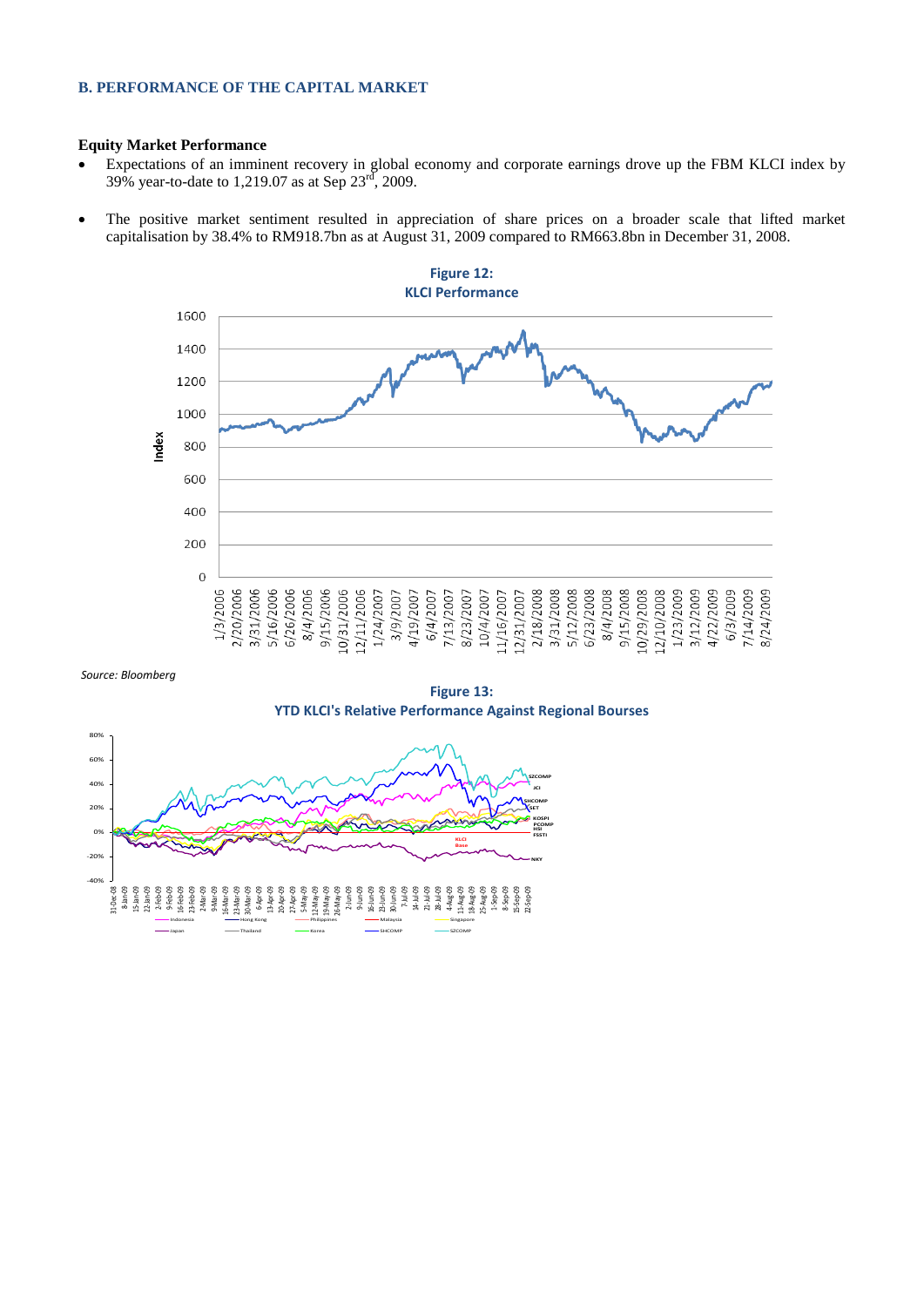### **B. PERFORMANCE OF THE CAPITAL MARKET**

### **Equity Market Performance**

- Expectations of an imminent recovery in global economy and corporate earnings drove up the FBM KLCI index by 39% year-to-date to 1,219.07 as at Sep  $23^{\text{rd}}$ , 2009.
- The positive market sentiment resulted in appreciation of share prices on a broader scale that lifted market capitalisation by 38.4% to RM918.7bn as at August 31, 2009 compared to RM663.8bn in December 31, 2008.



*Source: Bloomberg*

**Figure 13: YTD KLCI's Relative Performance Against Regional Bourses**

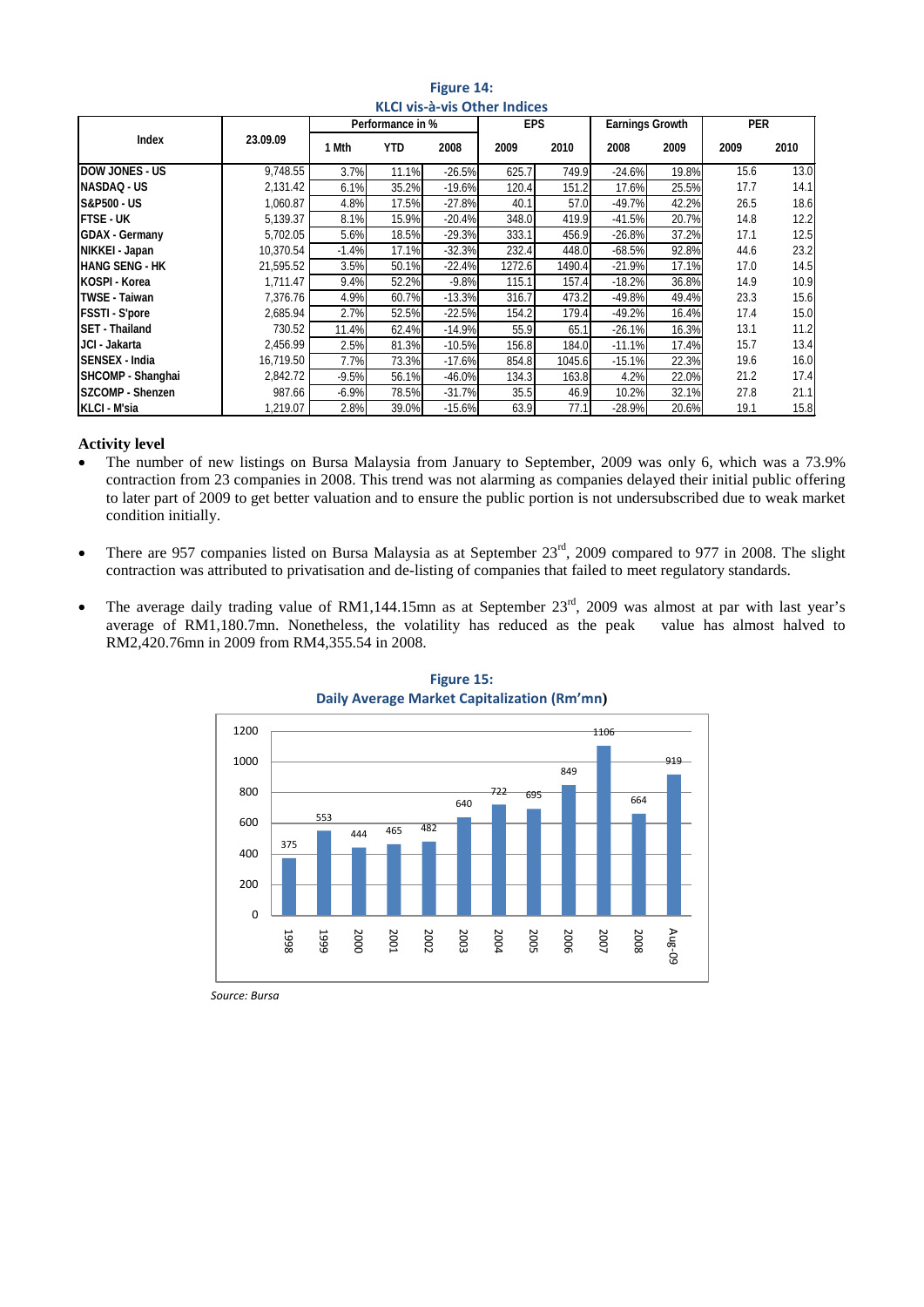| KLCI VIS-a-VIS OTHER INDICES |           |                  |       |          |            |        |                        |       |            |      |
|------------------------------|-----------|------------------|-------|----------|------------|--------|------------------------|-------|------------|------|
|                              |           | Performance in % |       |          | <b>EPS</b> |        | <b>Earnings Growth</b> |       | <b>PER</b> |      |
| Index                        | 23.09.09  | 1 Mth            | YTD   | 2008     | 2009       | 2010   | 2008                   | 2009  | 2009       | 2010 |
| <b>DOW JONES - US</b>        | 9,748.55  | 3.7%             | 11.1% | $-26.5%$ | 625.7      | 749.9  | $-24.6%$               | 19.8% | 15.6       | 13.0 |
| NASDAQ - US                  | 2,131.42  | 6.1%             | 35.2% | $-19.6%$ | 120.4      | 151.2  | 17.6%                  | 25.5% | 17.7       | 14.1 |
| S&P500 - US                  | 1,060.87  | 4.8%             | 17.5% | $-27.8%$ | 40.1       | 57.0   | $-49.7%$               | 42.2% | 26.5       | 18.6 |
| <b>FTSE - UK</b>             | 5,139.37  | 8.1%             | 15.9% | $-20.4%$ | 348.0      | 419.9  | $-41.5%$               | 20.7% | 14.8       | 12.2 |
| <b>GDAX - Germany</b>        | 5,702.05  | 5.6%             | 18.5% | $-29.3%$ | 333.1      | 456.9  | $-26.8%$               | 37.2% | 17.1       | 12.5 |
| NIKKEI - Japan               | 10,370.54 | $-1.4%$          | 17.1% | $-32.3%$ | 232.4      | 448.0  | $-68.5%$               | 92.8% | 44.6       | 23.2 |
| <b>HANG SENG - HK</b>        | 21,595.52 | 3.5%             | 50.1% | $-22.4%$ | 1272.6     | 1490.4 | $-21.9%$               | 17.1% | 17.0       | 14.5 |
| KOSPI - Korea                | 1,711.47  | 9.4%             | 52.2% | $-9.8%$  | 115.1      | 157.4  | $-18.2%$               | 36.8% | 14.9       | 10.9 |
| <b>TWSE - Taiwan</b>         | 7,376.76  | 4.9%             | 60.7% | $-13.3%$ | 316.7      | 473.2  | $-49.8%$               | 49.4% | 23.3       | 15.6 |
| <b>FSSTI</b> - S'pore        | 2,685.94  | 2.7%             | 52.5% | $-22.5%$ | 154.2      | 179.4  | $-49.2%$               | 16.4% | 17.4       | 15.0 |
| SET - Thailand               | 730.52    | 11.4%            | 62.4% | $-14.9%$ | 55.9       | 65.1   | $-26.1%$               | 16.3% | 13.1       | 11.2 |
| JCI - Jakarta                | 2,456.99  | 2.5%             | 81.3% | $-10.5%$ | 156.8      | 184.0  | $-11.1%$               | 17.4% | 15.7       | 13.4 |
| SENSEX - India               | 16,719.50 | 7.7%             | 73.3% | $-17.6%$ | 854.8      | 1045.6 | $-15.1%$               | 22.3% | 19.6       | 16.0 |
| SHCOMP - Shanghai            | 2,842.72  | $-9.5%$          | 56.1% | $-46.0%$ | 134.3      | 163.8  | 4.2%                   | 22.0% | 21.2       | 17.4 |
| SZCOMP - Shenzen             | 987.66    | $-6.9%$          | 78.5% | $-31.7%$ | 35.5       | 46.9   | 10.2%                  | 32.1% | 27.8       | 21.1 |
| KLCI - M'sia                 | 1,219.07  | 2.8%             | 39.0% | $-15.6%$ | 63.9       | 77.1   | $-28.9%$               | 20.6% | 19.1       | 15.8 |

### **Figure 14: KLCI vis-à-vis Other Indices**

### **Activity level**

- The number of new listings on Bursa Malaysia from January to September, 2009 was only 6, which was a 73.9% contraction from 23 companies in 2008. This trend was not alarming as companies delayed their initial public offering to later part of 2009 to get better valuation and to ensure the public portion is not undersubscribed due to weak market condition initially.
- There are 957 companies listed on Bursa Malaysia as at September 23<sup>rd</sup>, 2009 compared to 977 in 2008. The slight contraction was attributed to privatisation and de-listing of companies that failed to meet regulatory standards.
- The average daily trading value of RM1,144.15mn as at September  $23<sup>rd</sup>$ , 2009 was almost at par with last year's average of RM1,180.7mn. Nonetheless, the volatility has reduced as the peak value has almost halved to average of  $RM1,180.7$ mn. Nonetheless, the volatility has reduced as the peak RM2,420.76mn in 2009 from RM4,355.54 in 2008.



# **Figure 15: Daily Average Market Capitalization (Rm'mn)**

*Source: Bursa*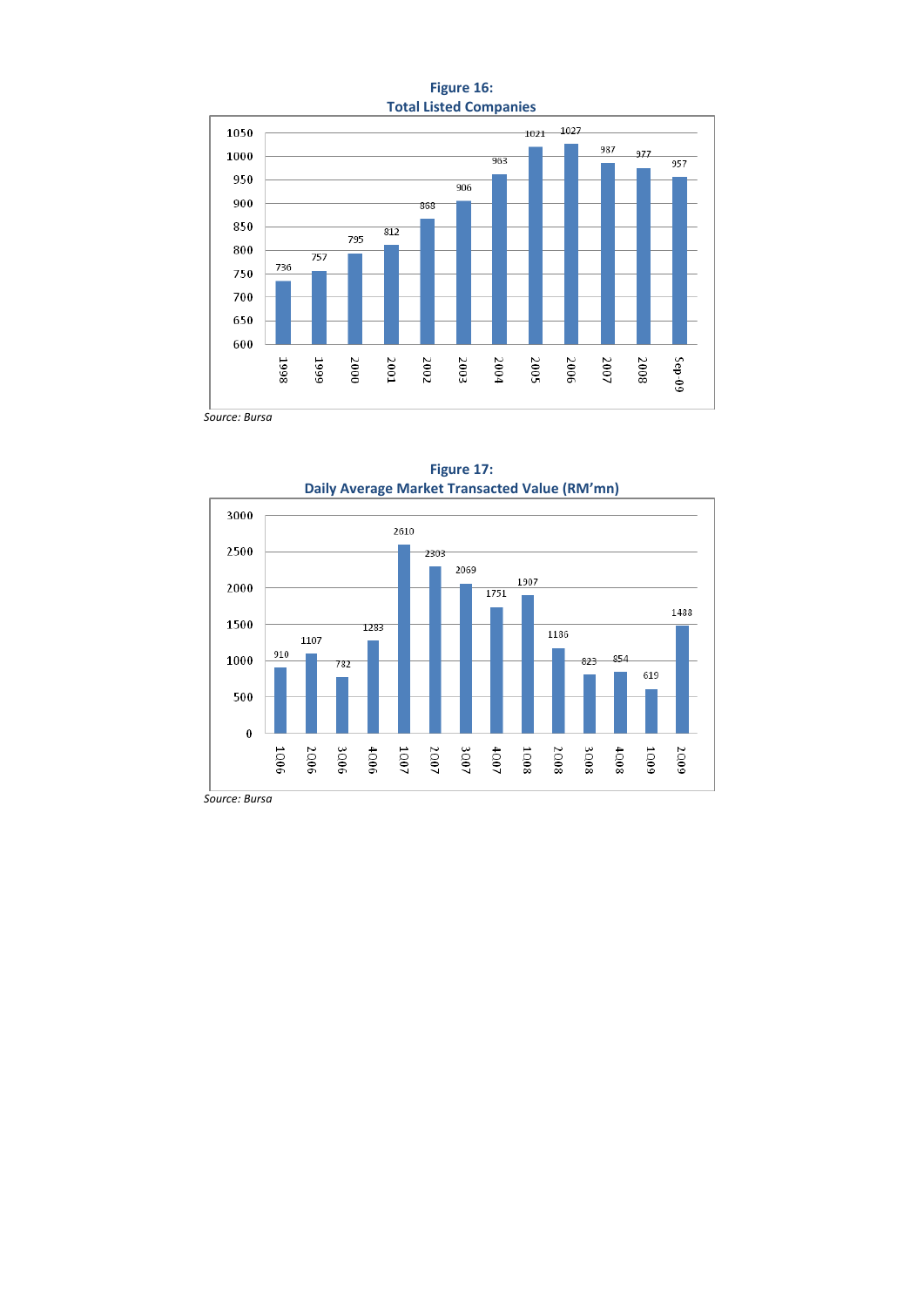



**Figure 17: Daily Average Market Transacted Value (RM'mn)**

*Source: Bursa*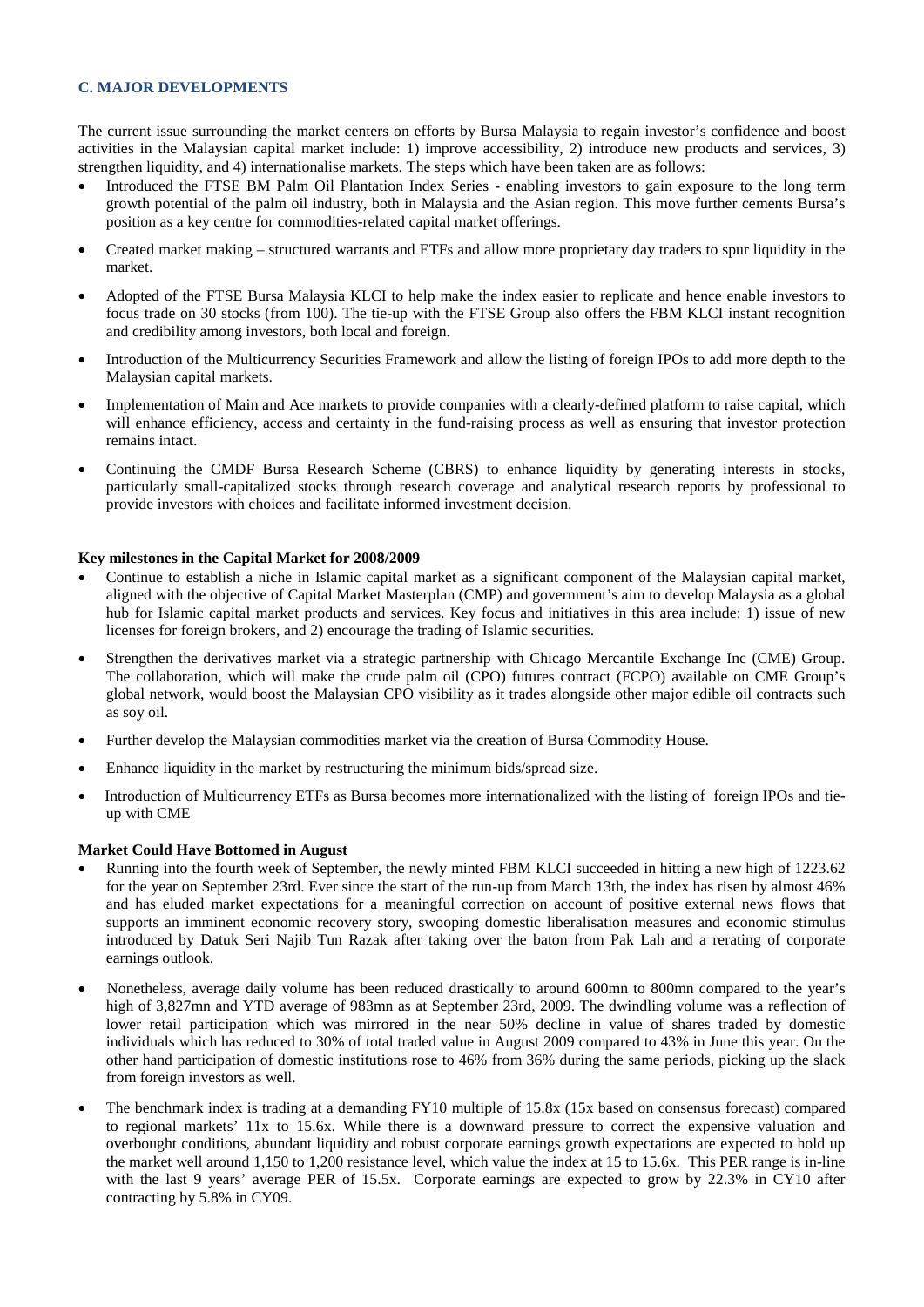### **C. MAJOR DEVELOPMENTS**

The current issue surrounding the market centers on efforts by Bursa Malaysia to regain investor's confidence and boost activities in the Malaysian capital market include: 1) improve accessibility, 2) introduce new products and services, 3) strengthen liquidity, and 4) internationalise markets. The steps which have been taken are as follows:

- Introduced the FTSE BM Palm Oil Plantation Index Series enabling investors to gain exposure to the long term growth potential of the palm oil industry, both in Malaysia and the Asian region. This move further cements Bursa's position as a key centre for commodities-related capital market offerings.
- Created market making structured warrants and ETFs and allow more proprietary day traders to spur liquidity in the market.
- Adopted of the FTSE Bursa Malaysia KLCI to help make the index easier to replicate and hence enable investors to focus trade on 30 stocks (from 100). The tie-up with the FTSE Group also offers the FBM KLCI instant recognition and credibility among investors, both local and foreign.
- Introduction of the Multicurrency Securities Framework and allow the listing of foreign IPOs to add more depth to the Malaysian capital markets.
- Implementation of Main and Ace markets to provide companies with a clearly-defined platform to raise capital, which will enhance efficiency, access and certainty in the fund-raising process as well as ensuring that investor protection remains intact.
- Continuing the CMDF Bursa Research Scheme (CBRS) to enhance liquidity by generating interests in stocks, particularly small-capitalized stocks through research coverage and analytical research reports by professional to provide investors with choices and facilitate informed investment decision.

### **Key milestones in the Capital Market for 2008/2009**

- Continue to establish a niche in Islamic capital market as a significant component of the Malaysian capital market, aligned with the objective of Capital Market Masterplan (CMP) and government's aim to develop Malaysia as a global hub for Islamic capital market products and services. Key focus and initiatives in this area include: 1) issue of new licenses for foreign brokers, and 2) encourage the trading of Islamic securities.
- Strengthen the derivatives market via a strategic partnership with Chicago Mercantile Exchange Inc (CME) Group. The collaboration, which will make the crude palm oil (CPO) futures contract (FCPO) available on CME Group's global network, would boost the Malaysian CPO visibility as it trades alongside other major edible oil contracts such as soy oil.
- Further develop the Malaysian commodities market via the creation of Bursa Commodity House.
- Enhance liquidity in the market by restructuring the minimum bids/spread size.
- Introduction of Multicurrency ETFs as Bursa becomes more internationalized with the listing of foreign IPOs and tieup with CME

#### **Market Could Have Bottomed in August**

- Running into the fourth week of September, the newly minted FBM KLCI succeeded in hitting a new high of 1223.62 for the year on September 23rd. Ever since the start of the run-up from March 13th, the index has risen by almost 46% and has eluded market expectations for a meaningful correction on account of positive external news flows that supports an imminent economic recovery story, swooping domestic liberalisation measures and economic stimulus introduced by Datuk Seri Najib Tun Razak after taking over the baton from Pak Lah and a rerating of corporate earnings outlook.
- Nonetheless, average daily volume has been reduced drastically to around 600mn to 800mn compared to the year's high of 3,827mn and YTD average of 983mn as at September 23rd, 2009. The dwindling volume was a reflection of lower retail participation which was mirrored in the near 50% decline in value of shares traded by domestic individuals which has reduced to 30% of total traded value in August 2009 compared to 43% in June this year. On the other hand participation of domestic institutions rose to 46% from 36% during the same periods, picking up the slack from foreign investors as well.
- The benchmark index is trading at a demanding FY10 multiple of 15.8x (15x based on consensus forecast) compared to regional markets' 11x to 15.6x. While there is a downward pressure to correct the expensive valuation and overbought conditions, abundant liquidity and robust corporate earnings growth expectations are expected to hold up the market well around 1,150 to 1,200 resistance level, which value the index at 15 to 15.6x. This PER range is in-line with the last 9 years' average PER of 15.5x. Corporate earnings are expected to grow by 22.3% in CY10 after contracting by 5.8% in CY09.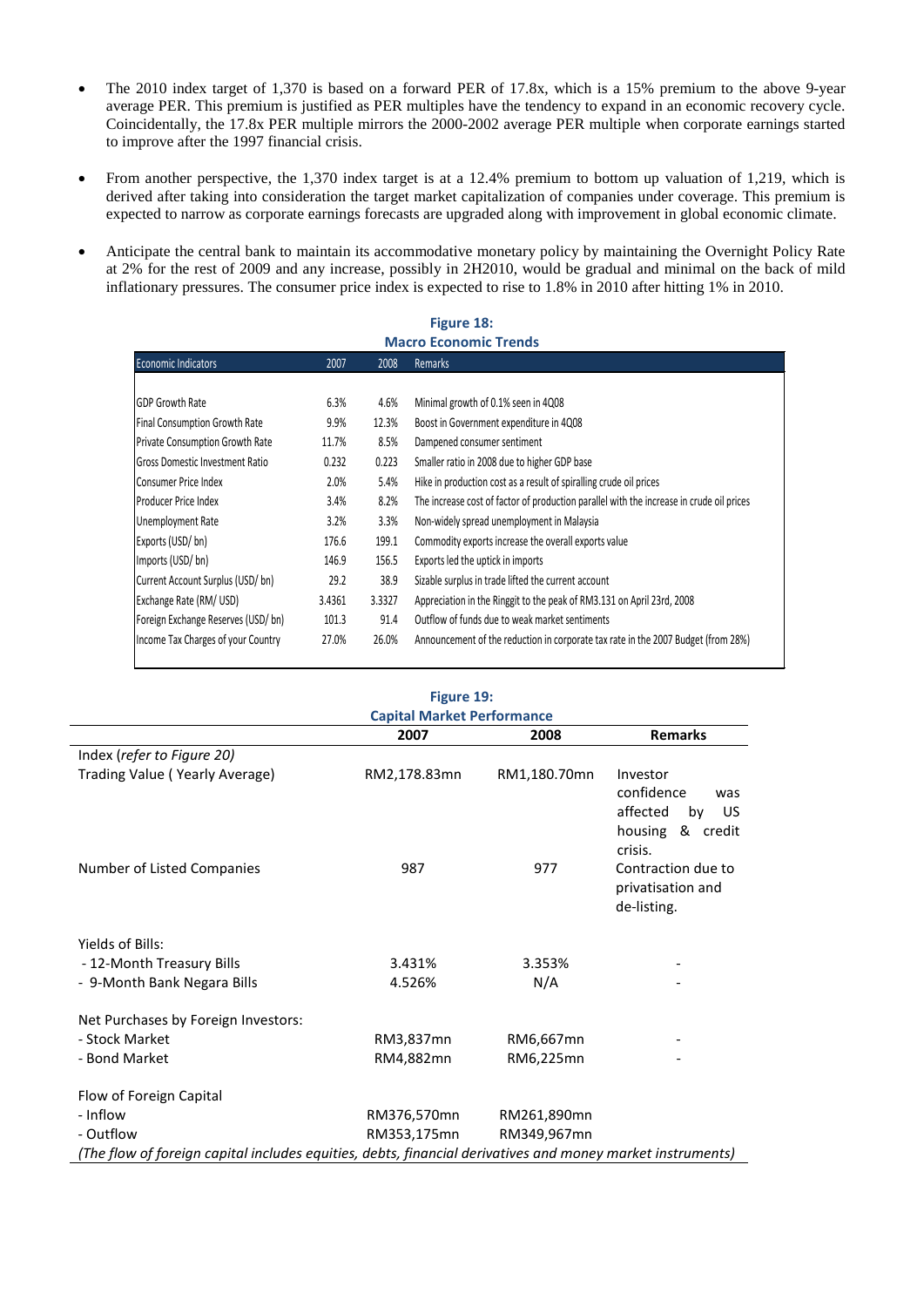- The 2010 index target of 1,370 is based on a forward PER of 17.8x, which is a 15% premium to the above 9-year average PER. This premium is justified as PER multiples have the tendency to expand in an economic recovery cycle. Coincidentally, the 17.8x PER multiple mirrors the 2000-2002 average PER multiple when corporate earnings started to improve after the 1997 financial crisis.
- From another perspective, the 1,370 index target is at a 12.4% premium to bottom up valuation of 1,219, which is derived after taking into consideration the target market capitalization of companies under coverage. This premium is expected to narrow as corporate earnings forecasts are upgraded along with improvement in global economic climate.
- Anticipate the central bank to maintain its accommodative monetary policy by maintaining the Overnight Policy Rate at 2% for the rest of 2009 and any increase, possibly in 2H2010, would be gradual and minimal on the back of mild inflationary pressures. The consumer price index is expected to rise to 1.8% in 2010 after hitting 1% in 2010.

### **Figure 18: Macro Economic Trends**

| <b>Economic Indicators</b>             | 2007   | 2008   | <b>Remarks</b>                                                                           |
|----------------------------------------|--------|--------|------------------------------------------------------------------------------------------|
|                                        |        |        |                                                                                          |
| <b>GDP Growth Rate</b>                 | 6.3%   | 4.6%   | Minimal growth of 0.1% seen in 4Q08                                                      |
| Final Consumption Growth Rate          | 9.9%   | 12.3%  | Boost in Government expenditure in 4Q08                                                  |
| <b>Private Consumption Growth Rate</b> | 11.7%  | 8.5%   | Dampened consumer sentiment                                                              |
| <b>Gross Domestic Investment Ratio</b> | 0.232  | 0.223  | Smaller ratio in 2008 due to higher GDP base                                             |
| Consumer Price Index                   | 2.0%   | 5.4%   | Hike in production cost as a result of spiralling crude oil prices                       |
| Producer Price Index                   | 3.4%   | 8.2%   | The increase cost of factor of production parallel with the increase in crude oil prices |
| Unemployment Rate                      | 3.2%   | 3.3%   | Non-widely spread unemployment in Malaysia                                               |
| Exports (USD/bn)                       | 176.6  | 199.1  | Commodity exports increase the overall exports value                                     |
| Imports (USD/bn)                       | 146.9  | 156.5  | Exports led the uptick in imports                                                        |
| Current Account Surplus (USD/bn)       | 29.2   | 38.9   | Sizable surplus in trade lifted the current account                                      |
| Exchange Rate (RM/USD)                 | 3.4361 | 3.3327 | Appreciation in the Ringgit to the peak of RM3.131 on April 23rd, 2008                   |
| Foreign Exchange Reserves (USD/bn)     | 101.3  | 91.4   | Outflow of funds due to weak market sentiments                                           |
| Income Tax Charges of your Country     | 27.0%  | 26.0%  | Announcement of the reduction in corporate tax rate in the 2007 Budget (from 28%)        |

### **Figure 19: Capital Market Performance**

|                                                                                                            | 2007         | 2008         | <b>Remarks</b>                                                                           |
|------------------------------------------------------------------------------------------------------------|--------------|--------------|------------------------------------------------------------------------------------------|
| Index (refer to Figure 20)                                                                                 |              |              |                                                                                          |
| Trading Value (Yearly Average)                                                                             | RM2,178.83mn | RM1,180.70mn | Investor<br>confidence<br>was<br>affected<br>by<br>US.<br>housing<br>& credit<br>crisis. |
| Number of Listed Companies                                                                                 | 987          | 977          | Contraction due to<br>privatisation and<br>de-listing.                                   |
| Yields of Bills:                                                                                           |              |              |                                                                                          |
| - 12-Month Treasury Bills                                                                                  | 3.431%       | 3.353%       |                                                                                          |
| - 9-Month Bank Negara Bills                                                                                | 4.526%       | N/A          |                                                                                          |
| Net Purchases by Foreign Investors:                                                                        |              |              |                                                                                          |
| - Stock Market                                                                                             | RM3,837mn    | RM6,667mn    |                                                                                          |
| - Bond Market                                                                                              | RM4,882mn    | RM6,225mn    |                                                                                          |
| Flow of Foreign Capital                                                                                    |              |              |                                                                                          |
| - Inflow                                                                                                   | RM376,570mn  | RM261,890mn  |                                                                                          |
| - Outflow                                                                                                  | RM353,175mn  | RM349,967mn  |                                                                                          |
| (The flow of foreign capital includes equities, debts, financial derivatives and money market instruments) |              |              |                                                                                          |